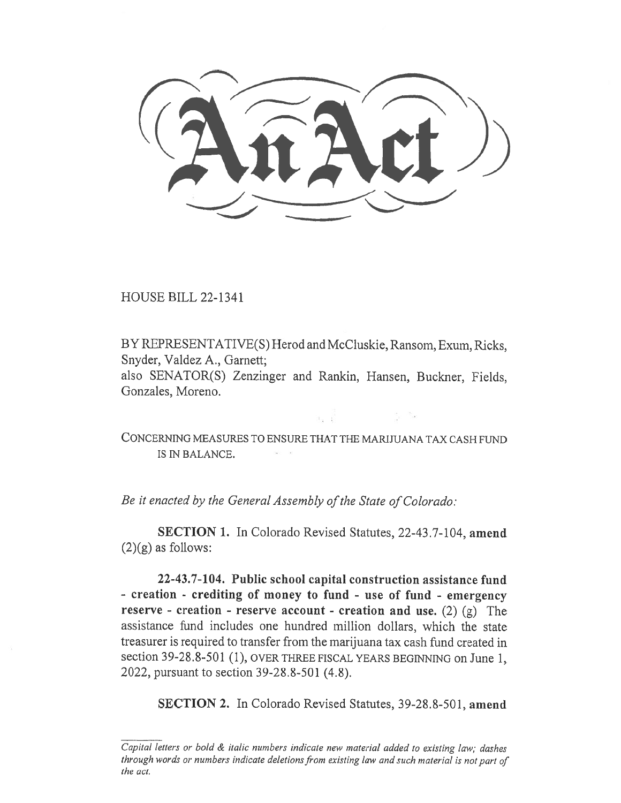HOUSE BILL 22-1341

BY REPRESENTATIVE(S) Herod and McCluskie, Ransom, Exum, Ricks, Snyder, Valdez A., Garnett;

also SENATOR(S) Zenzinger and Rankin, Hansen, Buckner, Fields, Gonzales, Moreno.

CONCERNING MEASURES TO ENSURE THAT THE MARIJUANA TAX CASH FUND IS IN BALANCE.

Be it enacted by the General Assembly of the State of Colorado:

SECTION 1. In Colorado Revised Statutes, 22-43.7-104, amend  $(2)(g)$  as follows:

22-43.7-104. Public school capital construction assistance fund - creation - crediting of money to fund - use of fund - emergency reserve - creation - reserve account - creation and use. (2) (g) The assistance fund includes one hundred million dollars, which the state treasurer is required to transfer from the marijuana tax cash fund created in section 39-28.8-501 (1), OVER THREE FISCAL YEARS BEGINNING on June 1, 2022, pursuant to section 39-28.8-501 (4.8).

SECTION 2. In Colorado Revised Statutes, 39-28.8-501, amend

Capital letters or bold & italic numbers indicate new material added to existing law; dashes through words or numbers indicate deletions from existing law and such material is not part of the act.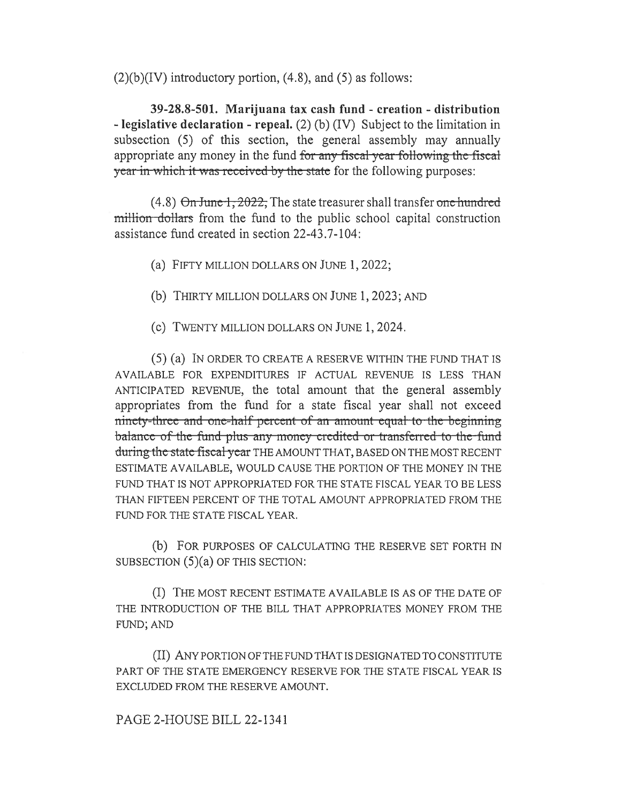$(2)(b)(IV)$  introductory portion,  $(4.8)$ , and  $(5)$  as follows:

39-28.8-501. Marijuana tax cash fund - creation - distribution - legislative declaration - repeal. (2) (b) (IV) Subject to the limitation in subsection (5) of this section, the general assembly may annually appropriate any money in the fund for any fiscal year following the fiscal year in which it was received by the state for the following purposes:

 $(4.8)$   $\Theta$ n June 1, 2022, The state treasurer shall transfer one hundred million dollars from the fund to the public school capital construction assistance fund created in section 22-43.7-104:

(a) FIFTY MILLION DOLLARS ON JUNE 1, 2022;

(b) THIRTY MILLION DOLLARS ON JUNE 1, 2023; AND

(c) TWENTY MILLION DOLLARS ON JUNE 1, 2024.

(5) (a) IN ORDER TO CREATE A RESERVE WITHIN THE FUND THAT IS AVAILABLE FOR EXPENDITURES IF ACTUAL REVENUE IS LESS THAN ANTICIPATED REVENUE, the total amount that the general assembly appropriates from the fund for a state fiscal year shall not exceed ninety-three and one-half percent of an amount equal to the beginning balance of the fund-plus any money credited or transferred to the-fund during the state fiscal year THE AMOUNT THAT, BASED ON THE MOST RECENT ESTIMATE AVAILABLE, WOULD CAUSE THE PORTION OF THE MONEY IN THE FUND THAT IS NOT APPROPRIATED FOR THE STATE FISCAL YEAR TO BE LESS THAN FIFTEEN PERCENT OF THE TOTAL AMOUNT APPROPRIATED FROM THE FUND FOR THE STATE FISCAL YEAR.

(b) FOR PURPOSES OF CALCULATING THE RESERVE SET FORTH IN SUBSECTION (5)(a) OF THIS SECTION:

(I) THE MOST RECENT ESTIMATE AVAILABLE IS AS OF THE DATE OF THE INTRODUCTION OF THE BILL THAT APPROPRIATES MONEY FROM THE FUND; AND

(II) ANY PORTION OF THE FUND THAT IS DESIGNATED TO CONSTITUTE PART OF THE STATE EMERGENCY RESERVE FOR THE STATE FISCAL YEAR IS EXCLUDED FROM THE RESERVE AMOUNT.

PAGE 2-HOUSE BILL 22-1341